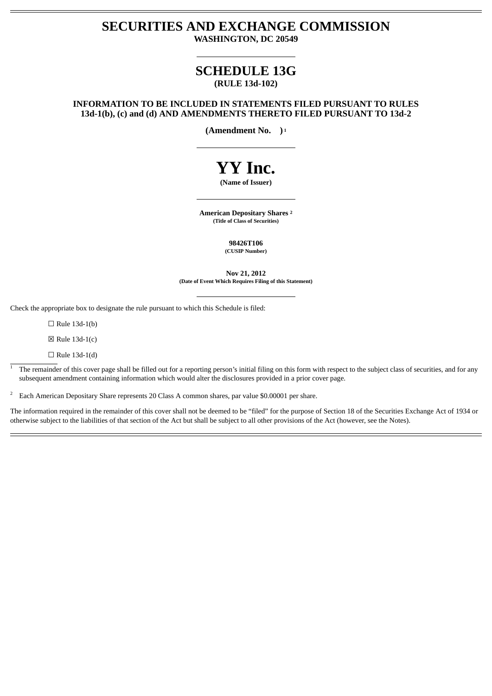# **SECURITIES AND EXCHANGE COMMISSION WASHINGTON, DC 20549**

# **SCHEDULE 13G (RULE 13d-102)**

# **INFORMATION TO BE INCLUDED IN STATEMENTS FILED PURSUANT TO RULES 13d-1(b), (c) and (d) AND AMENDMENTS THERETO FILED PURSUANT TO 13d-2**

**(Amendment No. ) 1**

# **YY Inc.**

# **(Name of Issuer)**

**American Depositary Shares 2 (Title of Class of Securities)**

> **98426T106 (CUSIP Number)**

**Nov 21, 2012 (Date of Event Which Requires Filing of this Statement)**

Check the appropriate box to designate the rule pursuant to which this Schedule is filed:

 $\Box$  Rule 13d-1(b)

 $\boxtimes$  Rule 13d-1(c)

 $\Box$  Rule 13d-1(d)

The remainder of this cover page shall be filled out for a reporting person's initial filing on this form with respect to the subject class of securities, and for any subsequent amendment containing information which would alter the disclosures provided in a prior cover page. 1

 $\degree$  Each American Depositary Share represents 20 Class A common shares, par value \$0.00001 per share.

The information required in the remainder of this cover shall not be deemed to be "filed" for the purpose of Section 18 of the Securities Exchange Act of 1934 or otherwise subject to the liabilities of that section of the Act but shall be subject to all other provisions of the Act (however, see the Notes).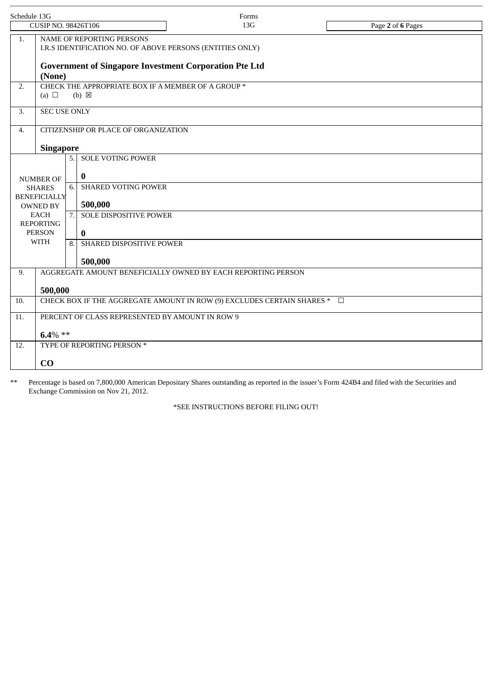| Schedule 13G                           |                                                                                                                                                         |    |                               | Forms |                   |  |  |  |  |  |
|----------------------------------------|---------------------------------------------------------------------------------------------------------------------------------------------------------|----|-------------------------------|-------|-------------------|--|--|--|--|--|
| <b>CUSIP NO. 98426T106</b>             |                                                                                                                                                         |    |                               | 13G   | Page 2 of 6 Pages |  |  |  |  |  |
| 1.                                     | NAME OF REPORTING PERSONS<br>I.R.S IDENTIFICATION NO. OF ABOVE PERSONS (ENTITIES ONLY)<br><b>Government of Singapore Investment Corporation Pte Ltd</b> |    |                               |       |                   |  |  |  |  |  |
| 2.                                     | (None)<br>CHECK THE APPROPRIATE BOX IF A MEMBER OF A GROUP *                                                                                            |    |                               |       |                   |  |  |  |  |  |
|                                        | (a) $\Box$<br>$(b) \boxtimes$                                                                                                                           |    |                               |       |                   |  |  |  |  |  |
| 3.                                     | <b>SEC USE ONLY</b>                                                                                                                                     |    |                               |       |                   |  |  |  |  |  |
| 4.                                     | CITIZENSHIP OR PLACE OF ORGANIZATION                                                                                                                    |    |                               |       |                   |  |  |  |  |  |
|                                        | <b>Singapore</b>                                                                                                                                        |    |                               |       |                   |  |  |  |  |  |
|                                        |                                                                                                                                                         |    | 5. SOLE VOTING POWER          |       |                   |  |  |  |  |  |
| <b>NUMBER OF</b>                       |                                                                                                                                                         |    | $\bf{0}$                      |       |                   |  |  |  |  |  |
| <b>SHARES</b>                          |                                                                                                                                                         | 6. | <b>SHARED VOTING POWER</b>    |       |                   |  |  |  |  |  |
| <b>BENEFICIALLY</b><br><b>OWNED BY</b> |                                                                                                                                                         |    | 500,000                       |       |                   |  |  |  |  |  |
| <b>EACH</b><br><b>REPORTING</b>        |                                                                                                                                                         | 7. | <b>SOLE DISPOSITIVE POWER</b> |       |                   |  |  |  |  |  |
| <b>PERSON</b>                          |                                                                                                                                                         |    | $\bf{0}$                      |       |                   |  |  |  |  |  |
| <b>WITH</b>                            |                                                                                                                                                         | 8. | SHARED DISPOSITIVE POWER      |       |                   |  |  |  |  |  |
|                                        |                                                                                                                                                         |    | 500,000                       |       |                   |  |  |  |  |  |
| 9.                                     | AGGREGATE AMOUNT BENEFICIALLY OWNED BY EACH REPORTING PERSON                                                                                            |    |                               |       |                   |  |  |  |  |  |
|                                        | 500,000                                                                                                                                                 |    |                               |       |                   |  |  |  |  |  |
| 10.                                    | CHECK BOX IF THE AGGREGATE AMOUNT IN ROW (9) EXCLUDES CERTAIN SHARES * $\square$                                                                        |    |                               |       |                   |  |  |  |  |  |
| 11.                                    | PERCENT OF CLASS REPRESENTED BY AMOUNT IN ROW 9                                                                                                         |    |                               |       |                   |  |  |  |  |  |
|                                        | $6.4\%$ **                                                                                                                                              |    |                               |       |                   |  |  |  |  |  |
| 12.                                    | TYPE OF REPORTING PERSON *                                                                                                                              |    |                               |       |                   |  |  |  |  |  |
|                                        | CO                                                                                                                                                      |    |                               |       |                   |  |  |  |  |  |
|                                        |                                                                                                                                                         |    |                               |       |                   |  |  |  |  |  |

\*\* Percentage is based on 7,800,000 American Depositary Shares outstanding as reported in the issuer's Form 424B4 and filed with the Securities and Exchange Commission on Nov 21, 2012.

\*SEE INSTRUCTIONS BEFORE FILING OUT!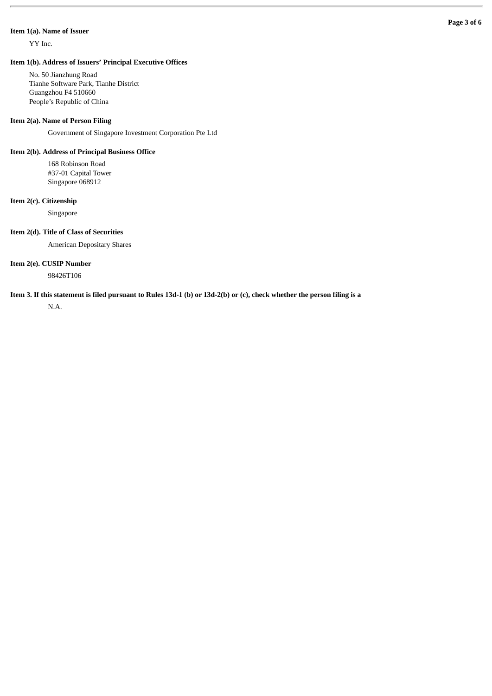#### **Item 1(a). Name of Issuer**

YY Inc.

No. 50 Jianzhung Road Tianhe Software Park, Tianhe District Guangzhou F4 510660 People's Republic of China

#### **Item 2(a). Name of Person Filing**

Government of Singapore Investment Corporation Pte Ltd

#### **Item 2(b). Address of Principal Business Office**

168 Robinson Road #37-01 Capital Tower Singapore 068912

#### **Item 2(c). Citizenship**

Singapore

### **Item 2(d). Title of Class of Securities**

American Depositary Shares

#### **Item 2(e). CUSIP Number**

98426T106

## **Item 3. If this statement is filed pursuant to Rules 13d-1 (b) or 13d-2(b) or (c), check whether the person filing is a**

N.A.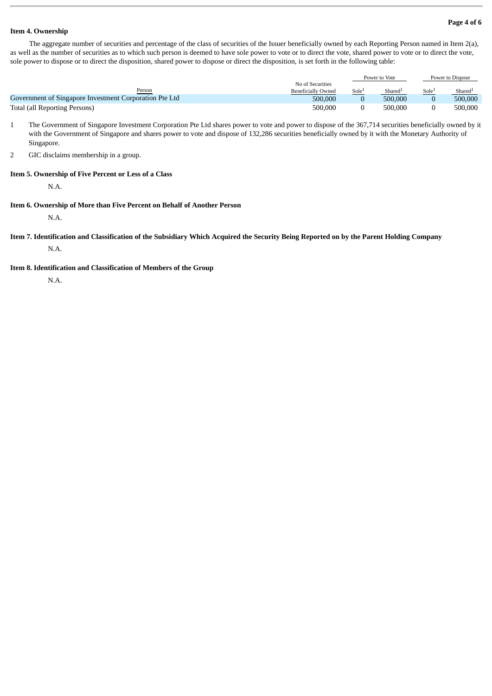#### **Page 4 of 6**

#### **Item 4. Ownership**

The aggregate number of securities and percentage of the class of securities of the Issuer beneficially owned by each Reporting Person named in Item 2(a), as well as the number of securities as to which such person is deemed to have sole power to vote or to direct the vote, shared power to vote or to direct the vote, sole power to dispose or to direct the disposition, shared power to dispose or direct the disposition, is set forth in the following table:

|                                                        |                           | Power to Vote     |         | Power to Dispose |                     |
|--------------------------------------------------------|---------------------------|-------------------|---------|------------------|---------------------|
|                                                        | No of Securities          |                   |         |                  |                     |
| Person                                                 | <b>Beneficially Owned</b> | Sole <sup>1</sup> | Shared  | Sole             | Shared <sup>1</sup> |
| Government of Singapore Investment Corporation Pte Ltd | 500.000                   |                   | 500,000 |                  | 500.000             |
| Total (all Reporting Persons)                          | 500.000                   |                   | 500,000 |                  | 500,000             |

- 1 The Government of Singapore Investment Corporation Pte Ltd shares power to vote and power to dispose of the 367,714 securities beneficially owned by it with the Government of Singapore and shares power to vote and dispose of 132,286 securities beneficially owned by it with the Monetary Authority of Singapore.
- 2 GIC disclaims membership in a group.

#### **Item 5. Ownership of Five Percent or Less of a Class**

N.A.

#### **Item 6. Ownership of More than Five Percent on Behalf of Another Person**

N.A.

**Item 7. Identification and Classification of the Subsidiary Which Acquired the Security Being Reported on by the Parent Holding Company** N.A.

#### **Item 8. Identification and Classification of Members of the Group**

N.A.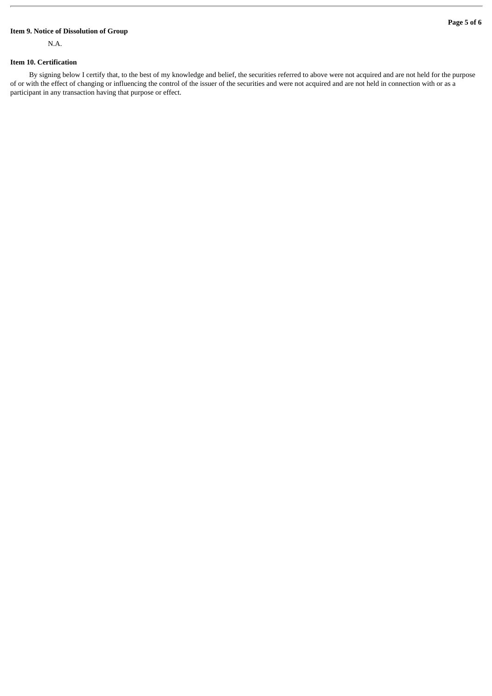#### **Page 5 of 6**

# **Item 9. Notice of Dissolution of Group**

N.A.

#### **Item 10. Certification**

By signing below I certify that, to the best of my knowledge and belief, the securities referred to above were not acquired and are not held for the purpose of or with the effect of changing or influencing the control of the issuer of the securities and were not acquired and are not held in connection with or as a participant in any transaction having that purpose or effect.